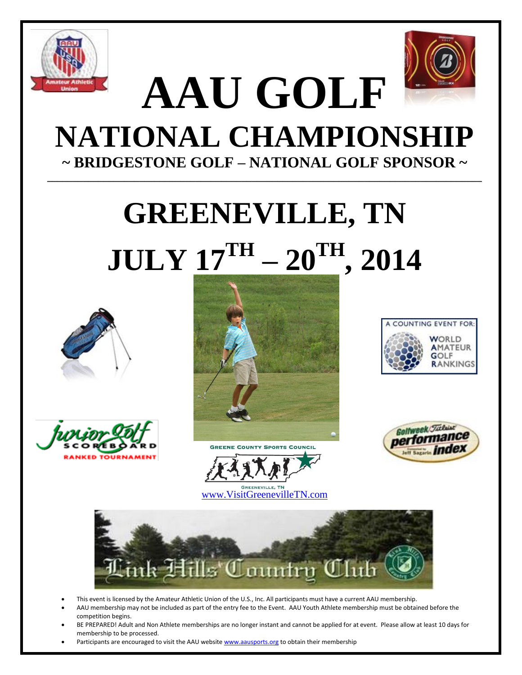



## **AAU GOLF NATIONAL CHAMPIONSHIP ~ BRIDGESTONE GOLF – NATIONAL GOLF SPONSOR ~ \_\_\_\_\_\_\_\_\_\_\_\_\_\_\_\_\_\_\_\_\_\_\_\_\_\_\_\_\_\_\_\_\_\_\_\_\_\_\_\_\_\_\_\_\_\_\_\_\_\_\_\_\_\_\_\_\_\_\_\_\_\_\_\_\_\_\_\_\_\_\_\_\_\_\_\_\_\_\_\_\_\_\_\_\_**

## **GREENEVILLE, TN**  $\mathbf{JULY}$   $\mathbf{\underline{17}}^{\text{TH}}$   $\mathbf{20}^{\text{TH}}$  ,  $\mathbf{2014}$













[www.VisitGreenevilleTN.com](http://www.visitgreenevilletn.com/)

**GREENEVILLE, TN** 

- This event is licensed by the Amateur Athletic Union of the U.S., Inc. All participants must have a current AAU membership.
- AAU membership may not be included as part of the entry fee to the Event. AAU Youth Athlete membership must be obtained before the competition begins.
- BE PREPARED! Adult and Non Athlete memberships are no longer instant and cannot be applied for at event. Please allow at least 10 days for membership to be processed.
- Participants are encouraged to visit the AAU websit[e www.aausports.org](http://www.aausports.org/) to obtain their membership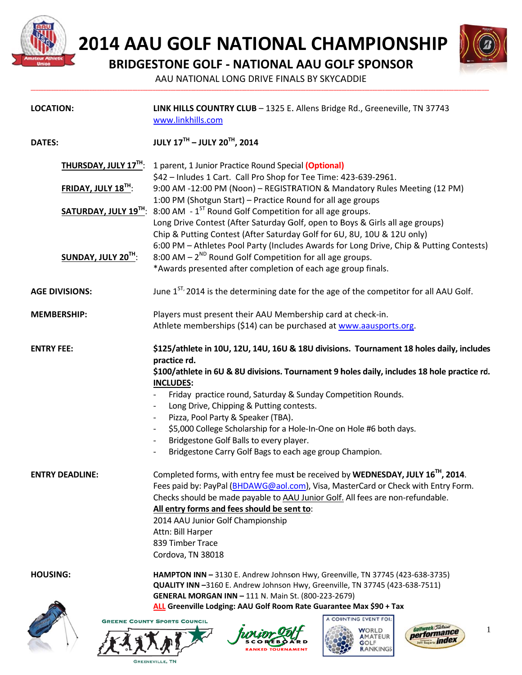

GREENEVILLE, TN

2014 AAU GOLF NATIONAL CHAMPIONSHIP



**BRIDGESTONE GOLF - NATIONAL AAU GOLF SPONSOR** 

AAU NATIONAL LONG DRIVE FINALS BY SKYCADDIE

| <b>LOCATION:</b>       | LINK HILLS COUNTRY CLUB - 1325 E. Allens Bridge Rd., Greeneville, TN 37743<br>www.linkhills.com                                                                                                                                                                                                                                                                                                                       |  |  |  |
|------------------------|-----------------------------------------------------------------------------------------------------------------------------------------------------------------------------------------------------------------------------------------------------------------------------------------------------------------------------------------------------------------------------------------------------------------------|--|--|--|
| <b>DATES:</b>          | <b>JULY 17TH - JULY 20TH, 2014</b>                                                                                                                                                                                                                                                                                                                                                                                    |  |  |  |
| THURSDAY, JULY 17TH:   | 1 parent, 1 Junior Practice Round Special (Optional)<br>\$42 - Inludes 1 Cart. Call Pro Shop for Tee Time: 423-639-2961.<br>9:00 AM -12:00 PM (Noon) - REGISTRATION & Mandatory Rules Meeting (12 PM)<br>1:00 PM (Shotgun Start) - Practice Round for all age groups                                                                                                                                                  |  |  |  |
| FRIDAY, JULY 18TH:     |                                                                                                                                                                                                                                                                                                                                                                                                                       |  |  |  |
| SATURDAY, JULY 19TH:   | 8:00 AM $-1^{ST}$ Round Golf Competition for all age groups.                                                                                                                                                                                                                                                                                                                                                          |  |  |  |
|                        | Long Drive Contest (After Saturday Golf, open to Boys & Girls all age groups)<br>Chip & Putting Contest (After Saturday Golf for 6U, 8U, 10U & 12U only)                                                                                                                                                                                                                                                              |  |  |  |
| SUNDAY, JULY 20TH:     | 6:00 PM - Athletes Pool Party (Includes Awards for Long Drive, Chip & Putting Contests)<br>8:00 AM $-2^{ND}$ Round Golf Competition for all age groups.<br>*Awards presented after completion of each age group finals.                                                                                                                                                                                               |  |  |  |
| <b>AGE DIVISIONS:</b>  | June 1 <sup>ST,</sup> 2014 is the determining date for the age of the competitor for all AAU Golf.                                                                                                                                                                                                                                                                                                                    |  |  |  |
| <b>MEMBERSHIP:</b>     | Players must present their AAU Membership card at check-in.                                                                                                                                                                                                                                                                                                                                                           |  |  |  |
|                        | Athlete memberships (\$14) can be purchased at www.aausports.org.                                                                                                                                                                                                                                                                                                                                                     |  |  |  |
| <b>ENTRY FEE:</b>      | \$125/athlete in 10U, 12U, 14U, 16U & 18U divisions. Tournament 18 holes daily, includes<br>practice rd.<br>\$100/athlete in 6U & 8U divisions. Tournament 9 holes daily, includes 18 hole practice rd.                                                                                                                                                                                                               |  |  |  |
|                        | <b>INCLUDES:</b><br>Friday practice round, Saturday & Sunday Competition Rounds.                                                                                                                                                                                                                                                                                                                                      |  |  |  |
|                        | Long Drive, Chipping & Putting contests.                                                                                                                                                                                                                                                                                                                                                                              |  |  |  |
|                        | Pizza, Pool Party & Speaker (TBA).<br>$\overline{\phantom{a}}$<br>\$5,000 College Scholarship for a Hole-In-One on Hole #6 both days.                                                                                                                                                                                                                                                                                 |  |  |  |
|                        | Bridgestone Golf Balls to every player.                                                                                                                                                                                                                                                                                                                                                                               |  |  |  |
|                        | Bridgestone Carry Golf Bags to each age group Champion.                                                                                                                                                                                                                                                                                                                                                               |  |  |  |
| <b>ENTRY DEADLINE:</b> | Completed forms, with entry fee must be received by WEDNESDAY, JULY 16 <sup>TH</sup> , 2014.<br>Fees paid by: PayPal (BHDAWG@aol.com), Visa, MasterCard or Check with Entry Form.<br>Checks should be made payable to AAU Junior Golf. All fees are non-refundable.<br>All entry forms and fees should be sent to:<br>2014 AAU Junior Golf Championship<br>Attn: Bill Harper<br>839 Timber Trace<br>Cordova, TN 38018 |  |  |  |
| <b>HOUSING:</b>        | HAMPTON INN - 3130 E. Andrew Johnson Hwy, Greenville, TN 37745 (423-638-3735)                                                                                                                                                                                                                                                                                                                                         |  |  |  |
|                        | QUALITY INN -3160 E. Andrew Johnson Hwy, Greenville, TN 37745 (423-638-7511)<br>GENERAL MORGAN INN - 111 N. Main St. (800-223-2679)                                                                                                                                                                                                                                                                                   |  |  |  |
|                        | ALL Greenville Lodging: AAU Golf Room Rate Guarantee Max \$90 + Tax                                                                                                                                                                                                                                                                                                                                                   |  |  |  |
|                        | <b>COUNTING EVENT FOR:</b><br><b>GREENE COUNTY SPORTS COUNCIL</b>                                                                                                                                                                                                                                                                                                                                                     |  |  |  |
| 社文艺人力                  | Golfweek/Ticlair<br>1<br>WORLD<br>performance<br>AMATEUR<br>Jeff Sagarin index<br>3OLF<br>RANKINGS                                                                                                                                                                                                                                                                                                                    |  |  |  |